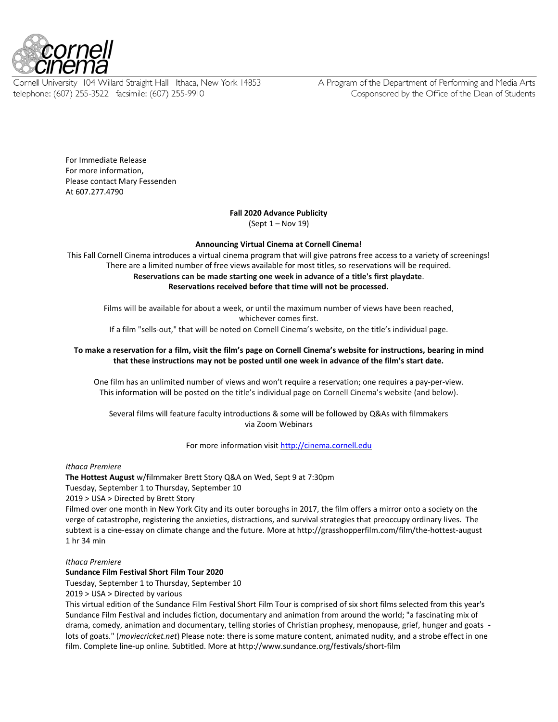

Cornell University 104 Willard Straight Hall Ithaca, New York 14853 telephone: (607) 255-3522 facsimile: (607) 255-9910

A Program of the Department of Performing and Media Arts Cosponsored by the Office of the Dean of Students

For Immediate Release For more information, Please contact Mary Fessenden At 607.277.4790

# **Fall 2020 Advance Publicity**

(Sept 1 – Nov 19)

## **Announcing Virtual Cinema at Cornell Cinema!**

This Fall Cornell Cinema introduces a virtual cinema program that will give patrons free access to a variety of screenings! There are a limited number of free views available for most titles, so reservations will be required. **Reservations can be made starting one week in advance of a title's first playdate**. **Reservations received before that time will not be processed.**

Films will be available for about a week, or until the maximum number of views have been reached, whichever comes first.

If a film "sells-out," that will be noted on Cornell Cinema's website, on the title's individual page.

# **To make a reservation for a film, visit the film's page on Cornell Cinema's website for instructions, bearing in mind that these instructions may not be posted until one week in advance of the film's start date.**

One film has an unlimited number of views and won't require a reservation; one requires a pay-per-view. This information will be posted on the title's individual page on Cornell Cinema's website (and below).

Several films will feature faculty introductions & some will be followed by Q&As with filmmakers via Zoom Webinars

For more information visi[t http://cinema.cornell.edu](http://cinema.cornell.edu/)

## *Ithaca Premiere*

**The Hottest August** w/filmmaker Brett Story Q&A on Wed, Sept 9 at 7:30pm Tuesday, September 1 to Thursday, September 10 2019 > USA > Directed by Brett Story Filmed over one month in New York City and its outer boroughs in 2017, the film offers a mirror onto a society on the verge of catastrophe, registering the anxieties, distractions, and survival strategies that preoccupy ordinary lives. The subtext is a cine-essay on climate change and the future. More at http://grasshopperfilm.com/film/the-hottest-august

## *Ithaca Premiere*

1 hr 34 min

## **Sundance Film Festival Short Film Tour 2020**

Tuesday, September 1 to Thursday, September 10

2019 > USA > Directed by various

This virtual edition of the Sundance Film Festival Short Film Tour is comprised of six short films selected from this year's Sundance Film Festival and includes fiction, documentary and animation from around the world; "a fascinating mix of drama, comedy, animation and documentary, telling stories of Christian prophesy, menopause, grief, hunger and goats lots of goats." (*moviecricket.net*) Please note: there is some mature content, animated nudity, and a strobe effect in one film. Complete line-up online. Subtitled. More at http://www.sundance.org/festivals/short-film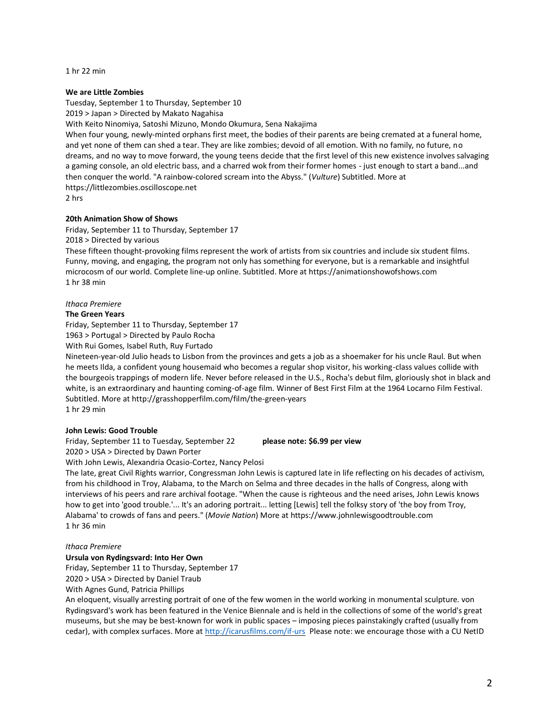1 hr 22 min

## **We are Little Zombies**

Tuesday, September 1 to Thursday, September 10

2019 > Japan > Directed by Makato Nagahisa

With Keito Ninomiya, Satoshi Mizuno, Mondo Okumura, Sena Nakajima

When four young, newly-minted orphans first meet, the bodies of their parents are being cremated at a funeral home, and yet none of them can shed a tear. They are like zombies; devoid of all emotion. With no family, no future, no dreams, and no way to move forward, the young teens decide that the first level of this new existence involves salvaging a gaming console, an old electric bass, and a charred wok from their former homes - just enough to start a band...and then conquer the world. "A rainbow-colored scream into the Abyss." (*Vulture*) Subtitled. More at https://littlezombies.oscilloscope.net

2 hrs

## **20th Animation Show of Shows**

Friday, September 11 to Thursday, September 17

2018 > Directed by various

These fifteen thought-provoking films represent the work of artists from six countries and include six student films. Funny, moving, and engaging, the program not only has something for everyone, but is a remarkable and insightful microcosm of our world. Complete line-up online. Subtitled. More at https://animationshowofshows.com 1 hr 38 min

## *Ithaca Premiere*

### **The Green Years**

Friday, September 11 to Thursday, September 17

1963 > Portugal > Directed by Paulo Rocha

With Rui Gomes, Isabel Ruth, Ruy Furtado

Nineteen-year-old Julio heads to Lisbon from the provinces and gets a job as a shoemaker for his uncle Raul. But when he meets Ilda, a confident young housemaid who becomes a regular shop visitor, his working-class values collide with the bourgeois trappings of modern life. Never before released in the U.S., Rocha's debut film, gloriously shot in black and white, is an extraordinary and haunting coming-of-age film. Winner of Best First Film at the 1964 Locarno Film Festival. Subtitled. More at http://grasshopperfilm.com/film/the-green-years 1 hr 29 min

### **John Lewis: Good Trouble**

Friday, September 11 to Tuesday, September 22 **please note: \$6.99 per view**  2020 > USA > Directed by Dawn Porter

With John Lewis, Alexandria Ocasio-Cortez, Nancy Pelosi

The late, great Civil Rights warrior, Congressman John Lewis is captured late in life reflecting on his decades of activism, from his childhood in Troy, Alabama, to the March on Selma and three decades in the halls of Congress, along with interviews of his peers and rare archival footage. "When the cause is righteous and the need arises, John Lewis knows how to get into 'good trouble.'... It's an adoring portrait... letting [Lewis] tell the folksy story of 'the boy from Troy, Alabama' to crowds of fans and peers." (*Movie Nation*) More at https://www.johnlewisgoodtrouble.com 1 hr 36 min

## *Ithaca Premiere*

**Ursula von Rydingsvard: Into Her Own**

Friday, September 11 to Thursday, September 17

2020 > USA > Directed by Daniel Traub

With Agnes Gund, Patricia Phillips

An eloquent, visually arresting portrait of one of the few women in the world working in monumental sculpture. von Rydingsvard's work has been featured in the Venice Biennale and is held in the collections of some of the world's great museums, but she may be best-known for work in public spaces – imposing pieces painstakingly crafted (usually from cedar), with complex surfaces. More a[t http://icarusfilms.com/if-urs](http://icarusfilms.com/if-urs) Please note: we encourage those with a CU NetID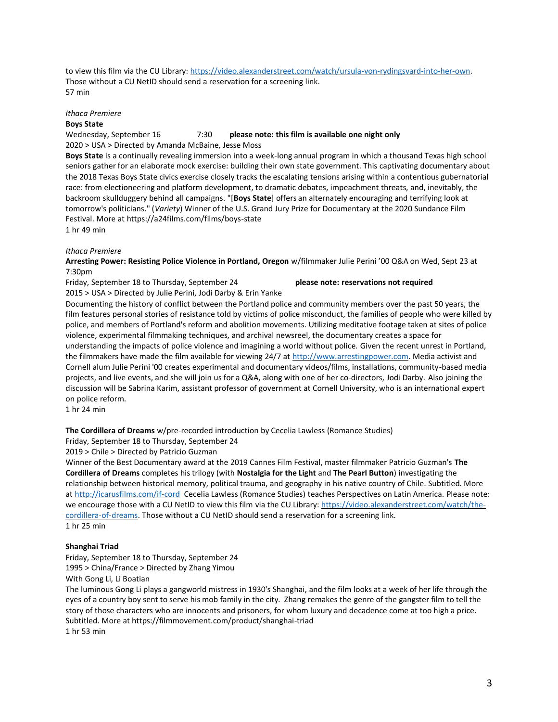to view this film via the CU Library: [https://video.alexanderstreet.com/watch/ursula-von-rydingsvard-into-her-own.](https://video.alexanderstreet.com/watch/ursula-von-rydingsvard-into-her-own) Those without a CU NetID should send a reservation for a screening link. 57 min

## *Ithaca Premiere* **Boys State**

Wednesday, September 16 7:30 **please note: this film is available one night only** 2020 > USA > Directed by Amanda McBaine, Jesse Moss

**Boys State** is a continually revealing immersion into a week-long annual program in which a thousand Texas high school seniors gather for an elaborate mock exercise: building their own state government. This captivating documentary about the 2018 Texas Boys State civics exercise closely tracks the escalating tensions arising within a contentious gubernatorial race: from electioneering and platform development, to dramatic debates, impeachment threats, and, inevitably, the backroom skullduggery behind all campaigns. "[**Boys State**] offers an alternately encouraging and terrifying look at tomorrow's politicians." (*Variety*) Winner of the U.S. Grand Jury Prize for Documentary at the 2020 Sundance Film Festival. More at https://a24films.com/films/boys-state 1 hr 49 min

# *Ithaca Premiere*

**Arresting Power: Resisting Police Violence in Portland, Oregon** w/filmmaker Julie Perini '00 Q&A on Wed, Sept 23 at 7:30pm

Friday, September 18 to Thursday, September 24 **please note: reservations not required**

2015 > USA > Directed by Julie Perini, Jodi Darby & Erin Yanke

Documenting the history of conflict between the Portland police and community members over the past 50 years, the film features personal stories of resistance told by victims of police misconduct, the families of people who were killed by police, and members of Portland's reform and abolition movements. Utilizing meditative footage taken at sites of police violence, experimental filmmaking techniques, and archival newsreel, the documentary creates a space for understanding the impacts of police violence and imagining a world without police. Given the recent unrest in Portland, the filmmakers have made the film available for viewing 24/7 a[t http://www.arrestingpower.com.](http://www.arrestingpower.com/) Media activist and Cornell alum Julie Perini '00 creates experimental and documentary videos/films, installations, community-based media projects, and live events, and she will join us for a Q&A, along with one of her co-directors, Jodi Darby. Also joining the discussion will be Sabrina Karim, assistant professor of government at Cornell University, who is an international expert on police reform.

1 hr 24 min

**The Cordillera of Dreams** w/pre-recorded introduction by Cecelia Lawless (Romance Studies)

Friday, September 18 to Thursday, September 24

2019 > Chile > Directed by Patricio Guzman

Winner of the Best Documentary award at the 2019 Cannes Film Festival, master filmmaker Patricio Guzman's **The Cordillera of Dreams** completes his trilogy (with **Nostalgia for the Light** and **The Pearl Button**) investigating the relationship between historical memory, political trauma, and geography in his native country of Chile. Subtitled. More at<http://icarusfilms.com/if-cord>Cecelia Lawless (Romance Studies) teaches Perspectives on Latin America. Please note: we encourage those with a CU NetID to view this film via the CU Library[: https://video.alexanderstreet.com/watch/the](https://video.alexanderstreet.com/watch/the-cordillera-of-dreams)[cordillera-of-dreams.](https://video.alexanderstreet.com/watch/the-cordillera-of-dreams) Those without a CU NetID should send a reservation for a screening link. 1 hr 25 min

## **Shanghai Triad**

Friday, September 18 to Thursday, September 24 1995 > China/France > Directed by Zhang Yimou

With Gong Li, Li Boatian

The luminous Gong Li plays a gangworld mistress in 1930's Shanghai, and the film looks at a week of her life through the eyes of a country boy sent to serve his mob family in the city. Zhang remakes the genre of the gangster film to tell the story of those characters who are innocents and prisoners, for whom luxury and decadence come at too high a price. Subtitled. More at https://filmmovement.com/product/shanghai-triad 1 hr 53 min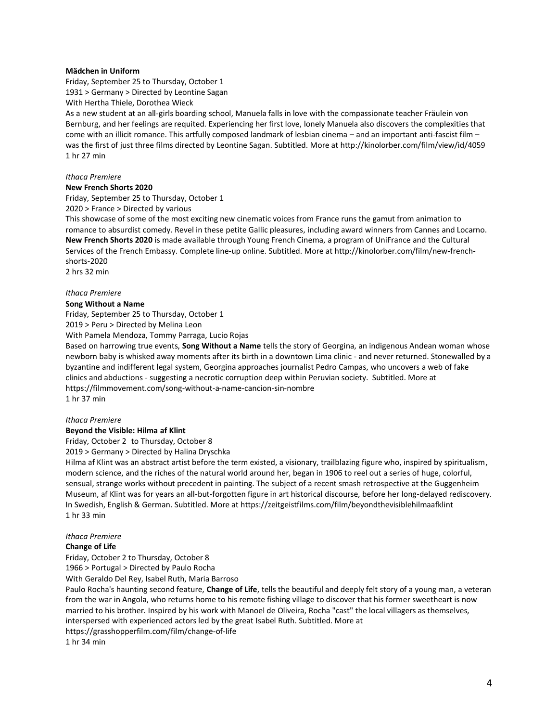## **Mädchen in Uniform**

Friday, September 25 to Thursday, October 1 1931 > Germany > Directed by Leontine Sagan

With Hertha Thiele, Dorothea Wieck

As a new student at an all-girls boarding school, Manuela falls in love with the compassionate teacher Fräulein von Bernburg, and her feelings are requited. Experiencing her first love, lonely Manuela also discovers the complexities that come with an illicit romance. This artfully composed landmark of lesbian cinema – and an important anti-fascist film – was the first of just three films directed by Leontine Sagan. Subtitled. More at http://kinolorber.com/film/view/id/4059 1 hr 27 min

## *Ithaca Premiere*

### **New French Shorts 2020**

Friday, September 25 to Thursday, October 1

2020 > France > Directed by various

This showcase of some of the most exciting new cinematic voices from France runs the gamut from animation to romance to absurdist comedy. Revel in these petite Gallic pleasures, including award winners from Cannes and Locarno. **New French Shorts 2020** is made available through Young French Cinema, a program of UniFrance and the Cultural Services of the French Embassy. Complete line-up online. Subtitled. More at http://kinolorber.com/film/new-frenchshorts-2020

2 hrs 32 min

#### *Ithaca Premiere*

### **Song Without a Name**

Friday, September 25 to Thursday, October 1

2019 > Peru > Directed by Melina Leon

With Pamela Mendoza, Tommy Parraga, Lucio Rojas

Based on harrowing true events, **Song Without a Name** tells the story of Georgina, an indigenous Andean woman whose newborn baby is whisked away moments after its birth in a downtown Lima clinic - and never returned. Stonewalled by a byzantine and indifferent legal system, Georgina approaches journalist Pedro Campas, who uncovers a web of fake clinics and abductions - suggesting a necrotic corruption deep within Peruvian society. Subtitled. More at https://filmmovement.com/song-without-a-name-cancion-sin-nombre

1 hr 37 min

# *Ithaca Premiere*

# **Beyond the Visible: Hilma af Klint**

Friday, October 2 to Thursday, October 8

2019 > Germany > Directed by Halina Dryschka

Hilma af Klint was an abstract artist before the term existed, a visionary, trailblazing figure who, inspired by spiritualism, modern science, and the riches of the natural world around her, began in 1906 to reel out a series of huge, colorful, sensual, strange works without precedent in painting. The subject of a recent smash retrospective at the Guggenheim Museum, af Klint was for years an all-but-forgotten figure in art historical discourse, before her long-delayed rediscovery. In Swedish, English & German. Subtitled. More at https://zeitgeistfilms.com/film/beyondthevisiblehilmaafklint 1 hr 33 min

# *Ithaca Premiere*

## **Change of Life**

Friday, October 2 to Thursday, October 8

1966 > Portugal > Directed by Paulo Rocha With Geraldo Del Rey, Isabel Ruth, Maria Barroso

Paulo Rocha's haunting second feature, **Change of Life**, tells the beautiful and deeply felt story of a young man, a veteran from the war in Angola, who returns home to his remote fishing village to discover that his former sweetheart is now married to his brother. Inspired by his work with Manoel de Oliveira, Rocha "cast" the local villagers as themselves, interspersed with experienced actors led by the great Isabel Ruth. Subtitled. More at https://grasshopperfilm.com/film/change-of-life

1 hr 34 min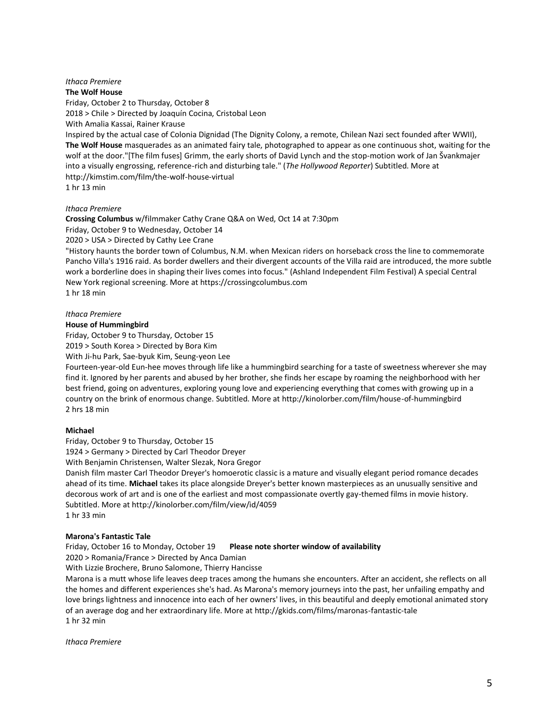## *Ithaca Premiere* **The Wolf House**

Friday, October 2 to Thursday, October 8 2018 > Chile > Directed by Joaquín Cocina, Cristobal Leon With Amalia Kassai, Rainer Krause

Inspired by the actual case of Colonia Dignidad (The Dignity Colony, a remote, Chilean Nazi sect founded after WWII), **The Wolf House** masquerades as an animated fairy tale, photographed to appear as one continuous shot, waiting for the wolf at the door."[The film fuses] Grimm, the early shorts of David Lynch and the stop-motion work of Jan Švankmajer into a visually engrossing, reference-rich and disturbing tale." (*The Hollywood Reporter*) Subtitled. More at http://kimstim.com/film/the-wolf-house-virtual

1 hr 13 min

## *Ithaca Premiere*

**Crossing Columbus** w/filmmaker Cathy Crane Q&A on Wed, Oct 14 at 7:30pm Friday, October 9 to Wednesday, October 14

2020 > USA > Directed by Cathy Lee Crane

"History haunts the border town of Columbus, N.M. when Mexican riders on horseback cross the line to commemorate Pancho Villa's 1916 raid. As border dwellers and their divergent accounts of the Villa raid are introduced, the more subtle work a borderline does in shaping their lives comes into focus." (Ashland Independent Film Festival) A special Central New York regional screening. More at https://crossingcolumbus.com

1 hr 18 min

# *Ithaca Premiere*

## **House of Hummingbird**

Friday, October 9 to Thursday, October 15

2019 > South Korea > Directed by Bora Kim

With Ji-hu Park, Sae-byuk Kim, Seung-yeon Lee

Fourteen-year-old Eun-hee moves through life like a hummingbird searching for a taste of sweetness wherever she may find it. Ignored by her parents and abused by her brother, she finds her escape by roaming the neighborhood with her best friend, going on adventures, exploring young love and experiencing everything that comes with growing up in a country on the brink of enormous change. Subtitled. More at http://kinolorber.com/film/house-of-hummingbird 2 hrs 18 min

## **Michael**

Friday, October 9 to Thursday, October 15

1924 > Germany > Directed by Carl Theodor Dreyer

With Benjamin Christensen, Walter Slezak, Nora Gregor

Danish film master Carl Theodor Dreyer's homoerotic classic is a mature and visually elegant period romance decades ahead of its time. **Michael** takes its place alongside Dreyer's better known masterpieces as an unusually sensitive and decorous work of art and is one of the earliest and most compassionate overtly gay-themed films in movie history. Subtitled. More at http://kinolorber.com/film/view/id/4059 1 hr 33 min

## **Marona's Fantastic Tale**

Friday, October 16 to Monday, October 19 **Please note shorter window of availability**

2020 > Romania/France > Directed by Anca Damian

With Lizzie Brochere, Bruno Salomone, Thierry Hancisse

Marona is a mutt whose life leaves deep traces among the humans she encounters. After an accident, she reflects on all the homes and different experiences she's had. As Marona's memory journeys into the past, her unfailing empathy and love brings lightness and innocence into each of her owners' lives, in this beautiful and deeply emotional animated story of an average dog and her extraordinary life. More at http://gkids.com/films/maronas-fantastic-tale 1 hr 32 min

*Ithaca Premiere*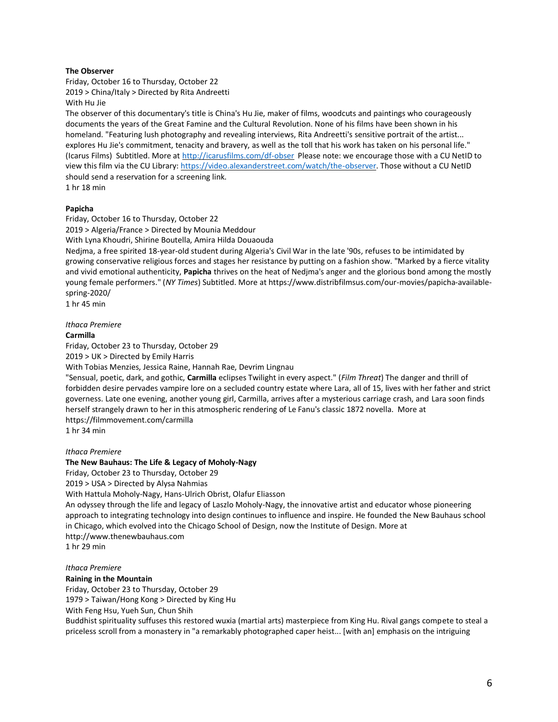# **The Observer**

Friday, October 16 to Thursday, October 22 2019 > China/Italy > Directed by Rita Andreetti With Hu Jie

The observer of this documentary's title is China's Hu Jie, maker of films, woodcuts and paintings who courageously documents the years of the Great Famine and the Cultural Revolution. None of his films have been shown in his homeland. "Featuring lush photography and revealing interviews, Rita Andreetti's sensitive portrait of the artist... explores Hu Jie's commitment, tenacity and bravery, as well as the toll that his work has taken on his personal life." (Icarus Films) Subtitled. More at<http://icarusfilms.com/df-obser>Please note: we encourage those with a CU NetID to view this film via the CU Library[: https://video.alexanderstreet.com/watch/the-observer.](https://video.alexanderstreet.com/watch/the-observer) Those without a CU NetID should send a reservation for a screening link. 1 hr 18 min

# **Papicha**

Friday, October 16 to Thursday, October 22

2019 > Algeria/France > Directed by Mounia Meddour

With Lyna Khoudri, Shirine Boutella, Amira Hilda Douaouda

Nedjma, a free spirited 18-year-old student during Algeria's Civil War in the late '90s, refuses to be intimidated by growing conservative religious forces and stages her resistance by putting on a fashion show. "Marked by a fierce vitality and vivid emotional authenticity, **Papicha** thrives on the heat of Nedjma's anger and the glorious bond among the mostly young female performers." (*NY Times*) Subtitled. More at https://www.distribfilmsus.com/our-movies/papicha-availablespring-2020/

1 hr 45 min

## *Ithaca Premiere*

## **Carmilla**

Friday, October 23 to Thursday, October 29 2019 > UK > Directed by Emily Harris

With Tobias Menzies, Jessica Raine, Hannah Rae, Devrim Lingnau

"Sensual, poetic, dark, and gothic, **Carmilla** eclipses Twilight in every aspect." (*Film Threat*) The danger and thrill of forbidden desire pervades vampire lore on a secluded country estate where Lara, all of 15, lives with her father and strict governess. Late one evening, another young girl, Carmilla, arrives after a mysterious carriage crash, and Lara soon finds herself strangely drawn to her in this atmospheric rendering of Le Fanu's classic 1872 novella. More at https://filmmovement.com/carmilla

1 hr 34 min

## *Ithaca Premiere*

## **The New Bauhaus: The Life & Legacy of Moholy-Nagy**

Friday, October 23 to Thursday, October 29

2019 > USA > Directed by Alysa Nahmias

With Hattula Moholy-Nagy, Hans-Ulrich Obrist, Olafur Eliasson

An odyssey through the life and legacy of Laszlo Moholy-Nagy, the innovative artist and educator whose pioneering approach to integrating technology into design continues to influence and inspire. He founded the New Bauhaus school in Chicago, which evolved into the Chicago School of Design, now the Institute of Design. More at http://www.thenewbauhaus.com 1 hr 29 min

### *Ithaca Premiere*

## **Raining in the Mountain**

Friday, October 23 to Thursday, October 29 1979 > Taiwan/Hong Kong > Directed by King Hu

With Feng Hsu, Yueh Sun, Chun Shih

Buddhist spirituality suffuses this restored wuxia (martial arts) masterpiece from King Hu. Rival gangs compete to steal a priceless scroll from a monastery in "a remarkably photographed caper heist... [with an] emphasis on the intriguing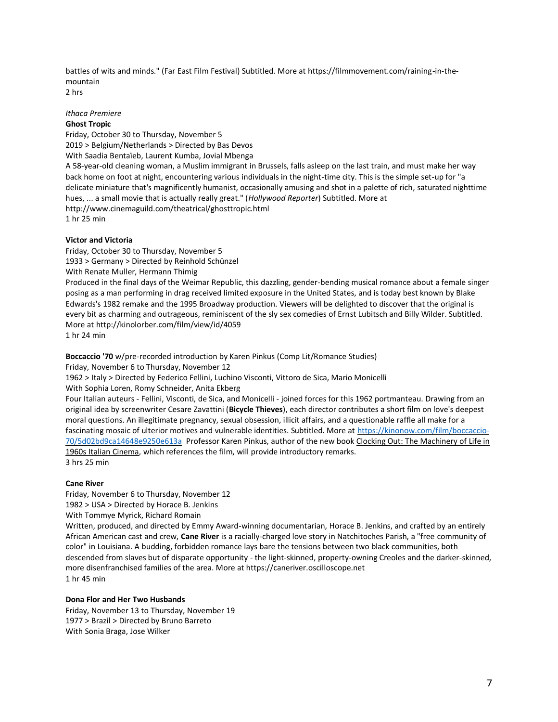battles of wits and minds." (Far East Film Festival) Subtitled. More at https://filmmovement.com/raining-in-themountain

2 hrs

## *Ithaca Premiere* **Ghost Tropic**

Friday, October 30 to Thursday, November 5 2019 > Belgium/Netherlands > Directed by Bas Devos With Saadia Bentaïeb, Laurent Kumba, Jovial Mbenga A 58-year-old cleaning woman, a Muslim immigrant in Brussels, falls asleep on the last train, and must make her way back home on foot at night, encountering various individuals in the night-time city. This is the simple set-up for "a delicate miniature that's magnificently humanist, occasionally amusing and shot in a palette of rich, saturated nighttime hues, ... a small movie that is actually really great." (*Hollywood Reporter*) Subtitled. More at http://www.cinemaguild.com/theatrical/ghosttropic.html 1 hr 25 min

# **Victor and Victoria**

Friday, October 30 to Thursday, November 5 1933 > Germany > Directed by Reinhold Schünzel With Renate Muller, Hermann Thimig Produced in the final days of the Weimar Republic, this dazzling, gender-bending musical romance about a female singer posing as a man performing in drag received limited exposure in the United States, and is today best known by Blake Edwards's 1982 remake and the 1995 Broadway production. Viewers will be delighted to discover that the original is every bit as charming and outrageous, reminiscent of the sly sex comedies of Ernst Lubitsch and Billy Wilder. Subtitled. More at http://kinolorber.com/film/view/id/4059 1 hr 24 min

**Boccaccio '70** w/pre-recorded introduction by Karen Pinkus (Comp Lit/Romance Studies) Friday, November 6 to Thursday, November 12 1962 > Italy > Directed by Federico Fellini, Luchino Visconti, Vittoro de Sica, Mario Monicelli With Sophia Loren, Romy Schneider, Anita Ekberg

Four Italian auteurs - Fellini, Visconti, de Sica, and Monicelli - joined forces for this 1962 portmanteau. Drawing from an original idea by screenwriter Cesare Zavattini (**Bicycle Thieves**), each director contributes a short film on love's deepest moral questions. An illegitimate pregnancy, sexual obsession, illicit affairs, and a questionable raffle all make for a fascinating mosaic of ulterior motives and vulnerable identities. Subtitled. More at [https://kinonow.com/film/boccaccio-](https://kinonow.com/film/boccaccio-70/5d02bd9ca14648e9250e613a)[70/5d02bd9ca14648e9250e613a](https://kinonow.com/film/boccaccio-70/5d02bd9ca14648e9250e613a) Professor Karen Pinkus, author of the new book Clocking Out: The Machinery of Life in 1960s Italian Cinema, which references the film, will provide introductory remarks. 3 hrs 25 min

# **Cane River**

Friday, November 6 to Thursday, November 12 1982 > USA > Directed by Horace B. Jenkins

With Tommye Myrick, Richard Romain

Written, produced, and directed by Emmy Award-winning documentarian, Horace B. Jenkins, and crafted by an entirely African American cast and crew, **Cane River** is a racially-charged love story in Natchitoches Parish, a "free community of color" in Louisiana. A budding, forbidden romance lays bare the tensions between two black communities, both descended from slaves but of disparate opportunity - the light-skinned, property-owning Creoles and the darker-skinned, more disenfranchised families of the area. More at https://caneriver.oscilloscope.net 1 hr 45 min

# **Dona Flor and Her Two Husbands**

Friday, November 13 to Thursday, November 19 1977 > Brazil > Directed by Bruno Barreto With Sonia Braga, Jose Wilker